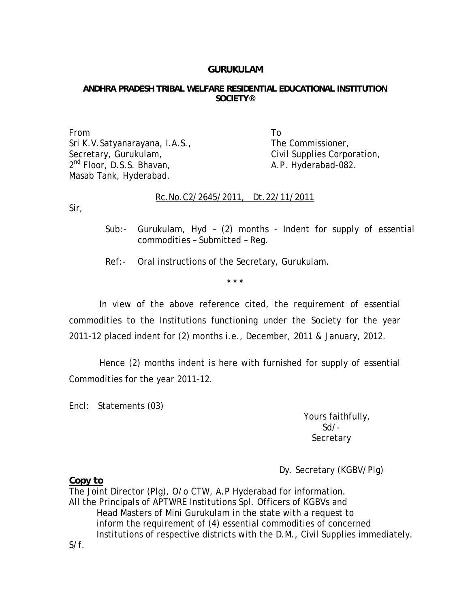## **GURUKULAM**

## **ANDHRA PRADESH TRIBAL WELFARE RESIDENTIAL EDUCATIONAL INSTITUTION SOCIETY®**

From To Sri K.V.Satyanarayana, I.A.S., The Commissioner, Secretary, Gurukulam, The Civil Supplies Corporation,  $2<sup>nd</sup> Floor, D.S.S. Bhavan,  $A.P. Hydroerabad-082$ .$ Masab Tank, Hyderabad.

## Rc.No.C2/2645/2011, Dt.22/11/2011

Sir,

- Sub:- Gurukulam, Hyd (2) months Indent for supply of essential commodities – Submitted – Reg.
- Ref:- Oral instructions of the Secretary, Gurukulam.

\* \* \*

 In view of the above reference cited, the requirement of essential commodities to the Institutions functioning under the Society for the year 2011-12 placed indent for (2) months i.e., December, 2011 & January, 2012.

 Hence (2) months indent is here with furnished for supply of essential Commodities for the year 2011-12.

Encl: Statements (03)

 Yours faithfully, Sd/- **Secretary** 

Dy. Secretary (KGBV/Plg)

*Copy to* 

The Joint Director (Plg), O/o CTW, A.P Hyderabad for information. All the Principals of APTWRE Institutions Spl. Officers of KGBVs and Head Masters of Mini Gurukulam in the state with a request to inform the requirement of (4) essential commodities of concerned Institutions of respective districts with the D.M., Civil Supplies immediately. S/f.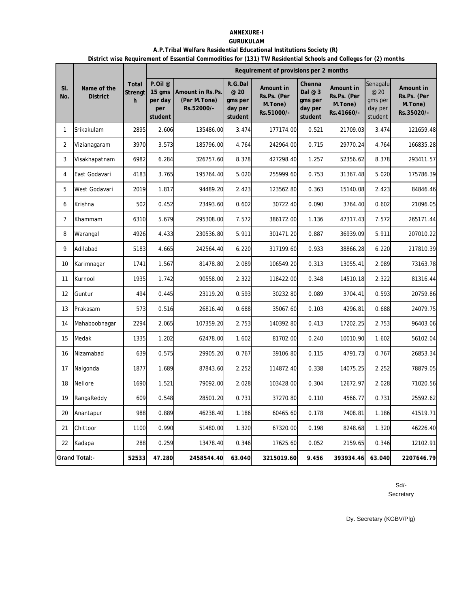#### **ANNEXURE-I GURUKULAM**

 $\overline{a}$ 

# **A.P.Tribal Welfare Residential Educational Institutions Society (R)**

**District wise Requirement of Essential Commodities for (131) TW Residential Schools and Colleges for (2) months**

|                |                                |                              |                                                           | Requirement of provisions per 2 months         |                                                  |                                                   |                                                     |                                                   |                                                   |                                                   |  |  |
|----------------|--------------------------------|------------------------------|-----------------------------------------------------------|------------------------------------------------|--------------------------------------------------|---------------------------------------------------|-----------------------------------------------------|---------------------------------------------------|---------------------------------------------------|---------------------------------------------------|--|--|
| SI.<br>No.     | Name of the<br><b>District</b> | <b>Total</b><br>Strengt<br>h | P.Oil <sup>@</sup><br>15 gms<br>per day<br>per<br>student | Amount in Rs.Ps.<br>(Per M.Tone)<br>Rs.52000/- | R.G.Dal<br>@ 20<br>gms per<br>day per<br>student | Amount in<br>Rs.Ps. (Per<br>M.Tone)<br>Rs.51000/- | Chenna<br>Dal $@3$<br>gms per<br>day per<br>student | Amount in<br>Rs.Ps. (Per<br>M.Tone)<br>Rs.41660/- | Senagalu<br>@ 20<br>gms per<br>day per<br>student | Amount in<br>Rs.Ps. (Per<br>M.Tone)<br>Rs.35020/- |  |  |
| 1              | Srikakulam                     | 2895                         | 2.606                                                     | 135486.00                                      | 3.474                                            | 177174.00                                         | 0.521                                               | 21709.03                                          | 3.474                                             | 121659.48                                         |  |  |
| 2              | Vizianagaram                   | 3970                         | 3.573                                                     | 185796.00                                      | 4.764                                            | 242964.00                                         | 0.715                                               | 29770.24                                          | 4.764                                             | 166835.28                                         |  |  |
| 3              | Visakhapatnam                  | 6982                         | 6.284                                                     | 326757.60                                      | 8.378                                            | 427298.40                                         | 1.257                                               | 52356.62                                          | 8.378                                             | 293411.57                                         |  |  |
| 4              | East Godavari                  | 4183                         | 3.765                                                     | 195764.40                                      | 5.020                                            | 255999.60                                         | 0.753                                               | 31367.48                                          | 5.020                                             | 175786.39                                         |  |  |
| 5              | West Godavari                  | 2019                         | 1.817                                                     | 94489.20                                       | 2.423                                            | 123562.80                                         | 0.363                                               | 15140.08                                          | 2.423                                             | 84846.46                                          |  |  |
| 6              | Krishna                        | 502                          | 0.452                                                     | 23493.60                                       | 0.602                                            | 30722.40                                          | 0.090                                               | 3764.40                                           | 0.602                                             | 21096.05                                          |  |  |
| $\overline{7}$ | Khammam                        | 6310                         | 5.679                                                     | 295308.00                                      | 7.572                                            | 386172.00                                         | 1.136                                               | 47317.43                                          | 7.572                                             | 265171.44                                         |  |  |
| 8              | Warangal                       | 4926                         | 4.433                                                     | 230536.80                                      | 5.911                                            | 301471.20                                         | 0.887                                               | 36939.09                                          | 5.911                                             | 207010.22                                         |  |  |
| 9              | Adilabad                       | 5183                         | 4.665                                                     | 242564.40                                      | 6.220                                            | 317199.60                                         | 0.933                                               | 38866.28                                          | 6.220                                             | 217810.39                                         |  |  |
| 10             | Karimnagar                     | 1741                         | 1.567                                                     | 81478.80                                       | 2.089                                            | 106549.20                                         | 0.313                                               | 13055.41                                          | 2.089                                             | 73163.78                                          |  |  |
| 11             | Kurnool                        | 1935                         | 1.742                                                     | 90558.00                                       | 2.322                                            | 118422.00                                         | 0.348                                               | 14510.18                                          | 2.322                                             | 81316.44                                          |  |  |
| 12             | Guntur                         | 494                          | 0.445                                                     | 23119.20                                       | 0.593                                            | 30232.80                                          | 0.089                                               | 3704.41                                           | 0.593                                             | 20759.86                                          |  |  |
| 13             | Prakasam                       | 573                          | 0.516                                                     | 26816.40                                       | 0.688                                            | 35067.60                                          | 0.103                                               | 4296.81                                           | 0.688                                             | 24079.75                                          |  |  |
| 14             | Mahaboobnagar                  | 2294                         | 2.065                                                     | 107359.20                                      | 2.753                                            | 140392.80                                         | 0.413                                               | 17202.25                                          | 2.753                                             | 96403.06                                          |  |  |
| 15             | Medak                          | 1335                         | 1.202                                                     | 62478.00                                       | 1.602                                            | 81702.00                                          | 0.240                                               | 10010.90                                          | 1.602                                             | 56102.04                                          |  |  |
| 16             | Nizamabad                      | 639                          | 0.575                                                     | 29905.20                                       | 0.767                                            | 39106.80                                          | 0.115                                               | 4791.73                                           | 0.767                                             | 26853.34                                          |  |  |
| 17             | Nalgonda                       | 1877                         | 1.689                                                     | 87843.60                                       | 2.252                                            | 114872.40                                         | 0.338                                               | 14075.25                                          | 2.252                                             | 78879.05                                          |  |  |
| 18             | Nellore                        | 1690                         | 1.521                                                     | 79092.00                                       | 2.028                                            | 103428.00                                         | 0.304                                               | 12672.97                                          | 2.028                                             | 71020.56                                          |  |  |
| 19             | RangaReddy                     | 609                          | 0.548                                                     | 28501.20                                       | 0.731                                            | 37270.80                                          | 0.110                                               | 4566.77                                           | 0.731                                             | 25592.62                                          |  |  |
| 20             | Anantapur                      | 988                          | 0.889                                                     | 46238.40                                       | 1.186                                            | 60465.60                                          | 0.178                                               | 7408.81                                           | 1.186                                             | 41519.71                                          |  |  |
| 21             | Chittoor                       | 1100                         | 0.990                                                     | 51480.00                                       | 1.320                                            | 67320.00                                          | 0.198                                               | 8248.68                                           | 1.320                                             | 46226.40                                          |  |  |
| 22             | Kadapa                         | 288                          | 0.259                                                     | 13478.40                                       | 0.346                                            | 17625.60                                          | 0.052                                               | 2159.65                                           | 0.346                                             | 12102.91                                          |  |  |
|                | <b>Grand Total:-</b>           | 52533                        | 47.280                                                    | 2458544.40                                     | 63.040                                           | 3215019.60                                        | 9.456                                               | 393934.46                                         | 63.040                                            | 2207646.79                                        |  |  |

Sd/-

Secretary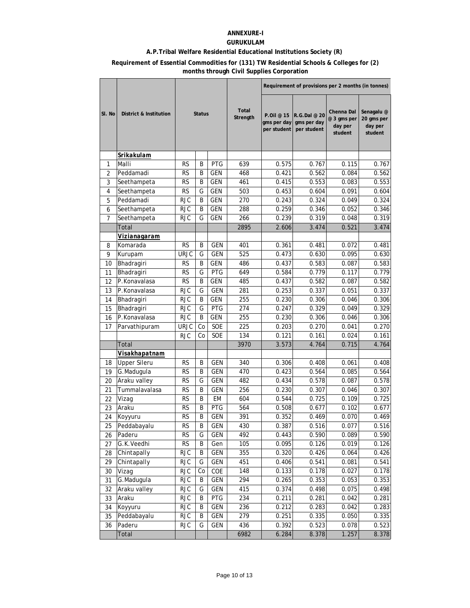### **ANNEXURE-I**

### **GURUKULAM**

### **A.P.Tribal Welfare Residential Educational Institutions Society (R)**

#### **Requirement of Essential Commodities for (131) TW Residential Schools & Colleges for (2) months through Civil Supplies Corporation**

|        |                        |             |               |            |                   | Requirement of provisions per 2 months (in tonnes) |                                            |                                                 |                                                |  |
|--------|------------------------|-------------|---------------|------------|-------------------|----------------------------------------------------|--------------------------------------------|-------------------------------------------------|------------------------------------------------|--|
| SI. No | District & Institution |             | <b>Status</b> |            | Total<br>Strength | P.Oil @ 15<br>gms per day<br>per student           | R.G.Dal @ 20<br>gms per day<br>per student | Chenna Dal<br>@ 3 gms per<br>day per<br>student | Senagalu @<br>20 gms per<br>day per<br>student |  |
|        | Srikakulam             |             |               |            |                   |                                                    |                                            |                                                 |                                                |  |
| 1      | Malli                  | <b>RS</b>   | B             | <b>PTG</b> | 639               | 0.575                                              | 0.767                                      | 0.115                                           | 0.767                                          |  |
| 2      | Peddamadi              | <b>RS</b>   | B             | <b>GEN</b> | 468               | 0.421                                              | 0.562                                      | 0.084                                           | 0.562                                          |  |
| 3      | Seethampeta            | <b>RS</b>   | B             | <b>GEN</b> | 461               | 0.415                                              | 0.553                                      | 0.083                                           | 0.553                                          |  |
| 4      | Seethampeta            | <b>RS</b>   | G             | <b>GEN</b> | 503               | 0.453                                              | 0.604                                      | 0.091                                           | 0.604                                          |  |
| 5      | Peddamadi              | <b>RJC</b>  | B             | <b>GEN</b> | 270               | 0.243                                              | 0.324                                      | 0.049                                           | 0.324                                          |  |
| 6      | Seethampeta            | <b>RJC</b>  | B             | <b>GEN</b> | 288               | 0.259                                              | 0.346                                      | 0.052                                           | 0.346                                          |  |
| 7      | Seethampeta            | <b>RJC</b>  | G             | <b>GEN</b> | 266               | 0.239                                              | 0.319                                      | 0.048                                           | 0.319                                          |  |
|        | Total                  |             |               |            | 2895              | 2.606                                              | 3.474                                      | 0.521                                           | 3.474                                          |  |
|        | Vizianagaram           |             |               |            |                   |                                                    |                                            |                                                 |                                                |  |
| 8      | Komarada               | RS          | B             | <b>GEN</b> | 401               | 0.361                                              | 0.481                                      | 0.072                                           | 0.481                                          |  |
| 9      | Kurupam                | URJC        | G             | GEN        | 525               | 0.473                                              | 0.630                                      | 0.095                                           | 0.630                                          |  |
| 10     | Bhadragiri             | RS          | B             | GEN        | 486               | 0.437                                              | 0.583                                      | 0.087                                           | 0.583                                          |  |
| 11     | Bhadragiri             | <b>RS</b>   | G             | PTG        | 649               | 0.584                                              | 0.779                                      | 0.117                                           | 0.779                                          |  |
| 12     | P.Konavalasa           | <b>RS</b>   | B             | <b>GEN</b> | 485               | 0.437                                              | 0.582                                      | 0.087                                           | 0.582                                          |  |
| 13     | P.Konavalasa           | <b>RJC</b>  | G             | <b>GEN</b> | 281               | 0.253                                              | 0.337                                      | 0.051                                           | 0.337                                          |  |
| 14     | Bhadragiri             | <b>RJC</b>  | B             | <b>GEN</b> | 255               | 0.230                                              | 0.306                                      | 0.046                                           | 0.306                                          |  |
| 15     | Bhadragiri             | <b>RJC</b>  | G             | <b>PTG</b> | 274               | 0.247                                              | 0.329                                      | 0.049                                           | 0.329                                          |  |
| 16     | P.Konavalasa           | <b>RJC</b>  | B             | <b>GEN</b> | 255               | 0.230                                              | 0.306                                      | 0.046                                           | 0.306                                          |  |
| 17     | Parvathipuram          | <b>URJC</b> | Co            | SOE        | 225               | 0.203                                              | 0.270                                      | 0.041                                           | 0.270                                          |  |
|        |                        | <b>RJC</b>  | Co            | <b>SOE</b> | 134               | 0.121                                              | 0.161                                      | 0.024                                           | 0.161                                          |  |
|        | Total                  |             |               |            | 3970              | 3.573                                              | 4.764                                      | 0.715                                           | 4.764                                          |  |
|        | Visakhapatnam          |             |               |            |                   |                                                    |                                            |                                                 |                                                |  |
| 18     | <b>Upper Sileru</b>    | RS          | Β             | <b>GEN</b> | 340               | 0.306                                              | 0.408                                      | 0.061                                           | 0.408                                          |  |
| 19     | G.Madugula             | RS          | B             | GEN        | 470               | 0.423                                              | 0.564                                      | 0.085                                           | 0.564                                          |  |
| 20     | Araku valley           | <b>RS</b>   | G             | <b>GEN</b> | 482               | 0.434                                              | 0.578                                      | 0.087                                           | 0.578                                          |  |
| 21     | Tummalavalasa          | <b>RS</b>   | B             | <b>GEN</b> | 256               | 0.230                                              | 0.307                                      | 0.046                                           | 0.307                                          |  |
| 22     | Vizag                  | <b>RS</b>   | B             | <b>EM</b>  | 604               | 0.544                                              | 0.725                                      | 0.109                                           | 0.725                                          |  |
| 23     | Araku                  | <b>RS</b>   | B             | PTG        | 564               | 0.508                                              | 0.677                                      | 0.102                                           | 0.677                                          |  |
| 24     | Koyyuru                | <b>RS</b>   | B             | <b>GEN</b> | 391               | 0.352                                              | 0.469                                      | 0.070                                           | 0.469                                          |  |
| 25     | Peddabayalu            | <b>RS</b>   | B             | GEN        | 430               | 0.387                                              | 0.516                                      | 0.077                                           | 0.516                                          |  |
| 26     | Paderu                 | <b>RS</b>   | G             | <b>GEN</b> | 492               | 0.443                                              | 0.590                                      | 0.089                                           | 0.590                                          |  |
| 27     | G.K.Veedhi             | <b>RS</b>   | В             | Gen        | 105               | 0.095                                              | 0.126                                      | 0.019                                           | 0.126                                          |  |
| 28     | Chintapally            | <b>RJC</b>  | В             | GEN        | 355               | 0.320                                              | 0.426                                      | 0.064                                           | 0.426                                          |  |
| 29     | Chintapally            | <b>RJC</b>  | G             | GEN        | 451               | 0.406                                              | 0.541                                      | 0.081                                           | 0.541                                          |  |
| 30     | Vizag                  | <b>RJC</b>  | Co            | COE        | 148               | 0.133                                              | 0.178                                      | 0.027                                           | 0.178                                          |  |
| 31     | G.Madugula             | <b>RJC</b>  | Β             | GEN        | 294               | 0.265                                              | 0.353                                      | 0.053                                           | 0.353                                          |  |
| 32     | Araku valley           | <b>RJC</b>  | G             | GEN        | 415               | 0.374                                              | 0.498                                      | 0.075                                           | 0.498                                          |  |
| 33     | Araku                  | <b>RJC</b>  | В             | PTG        | 234               | 0.211                                              | 0.281                                      | 0.042                                           | 0.281                                          |  |
| 34     | Koyyuru                | <b>RJC</b>  | В             | GEN        | 236               | 0.212                                              | 0.283                                      | 0.042                                           | 0.283                                          |  |
| 35     | Peddabayalu            | <b>RJC</b>  | В             | GEN        | 279               | 0.251                                              | 0.335                                      | 0.050                                           | 0.335                                          |  |
| 36     | Paderu                 | <b>RJC</b>  | G             | GEN        | 436               | 0.392                                              | 0.523                                      | 0.078                                           | 0.523                                          |  |
|        | Total                  |             |               |            | 6982              | 6.284                                              | 8.378                                      | 1.257                                           | 8.378                                          |  |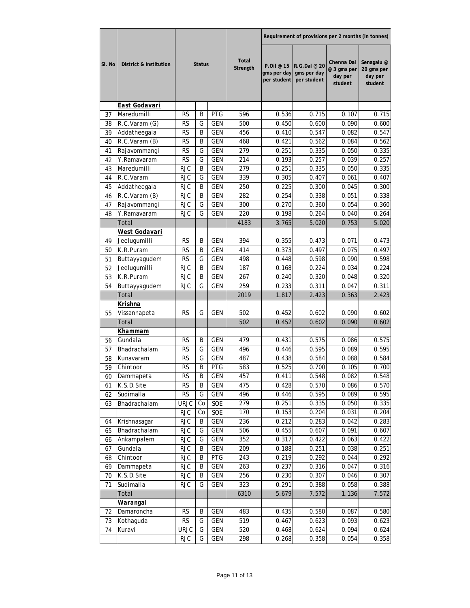|        |                        |             |               |            |                          | Requirement of provisions per 2 months (in tonnes) |                                            |                                                 |                                                |  |
|--------|------------------------|-------------|---------------|------------|--------------------------|----------------------------------------------------|--------------------------------------------|-------------------------------------------------|------------------------------------------------|--|
| SI. No | District & Institution |             | <b>Status</b> |            | <b>Total</b><br>Strength | P.Oil @ 15<br>gms per day<br>per student           | R.G.Dal @ 20<br>gms per day<br>per student | Chenna Dal<br>@ 3 gms per<br>day per<br>student | Senagalu @<br>20 gms per<br>day per<br>student |  |
|        | <b>East Godavari</b>   |             |               |            |                          |                                                    |                                            |                                                 |                                                |  |
| 37     | Maredumilli            | <b>RS</b>   | Β             | <b>PTG</b> | 596                      | 0.536                                              | 0.715                                      | 0.107                                           | 0.715                                          |  |
| 38     | R.C.Varam (G)          | RS          | G             | GEN        | 500                      | 0.450                                              | 0.600                                      | 0.090                                           | 0.600                                          |  |
| 39     | Addatheegala           | <b>RS</b>   | Β             | GEN        | 456                      | 0.410                                              | 0.547                                      | 0.082                                           | 0.547                                          |  |
| 40     | R.C.Varam (B)          | <b>RS</b>   | Β             | <b>GEN</b> | 468                      | 0.421                                              | 0.562                                      | 0.084                                           | 0.562                                          |  |
| 41     | Rajavommangi           | <b>RS</b>   | G             | <b>GEN</b> | 279                      | 0.251                                              | 0.335                                      | 0.050                                           | 0.335                                          |  |
| 42     | Y.Ramavaram            | <b>RS</b>   | G             | <b>GEN</b> | 214                      | 0.193                                              | 0.257                                      | 0.039                                           | 0.257                                          |  |
| 43     | Maredumilli            | <b>RJC</b>  | B             | <b>GEN</b> | 279                      | 0.251                                              | 0.335                                      | 0.050                                           | 0.335                                          |  |
| 44     | R.C.Varam              | <b>RJC</b>  | G             | <b>GEN</b> | 339                      | 0.305                                              | 0.407                                      | 0.061                                           | 0.407                                          |  |
| 45     | Addatheegala           | <b>RJC</b>  | B             | GEN        | 250                      | 0.225                                              | 0.300                                      | 0.045                                           | 0.300                                          |  |
| 46     | R.C.Varam (B)          | <b>RJC</b>  | B             | <b>GEN</b> | 282                      | 0.254                                              | 0.338                                      | 0.051                                           | 0.338                                          |  |
| 47     | Rajavommangi           | <b>RJC</b>  | G             | <b>GEN</b> | 300                      | 0.270                                              | 0.360                                      | 0.054                                           | 0.360                                          |  |
| 48     | Y.Ramavaram            | <b>RJC</b>  | G             | <b>GEN</b> | 220                      | 0.198                                              | 0.264                                      | 0.040                                           | 0.264                                          |  |
|        | Total                  |             |               |            | 4183                     | 3.765                                              | 5.020                                      | 0.753                                           | 5.020                                          |  |
|        | <u>West Godavari</u>   |             |               |            |                          |                                                    |                                            |                                                 |                                                |  |
| 49     | Jeelugumilli           | <b>RS</b>   | Β             | <b>GEN</b> | 394                      | 0.355                                              | 0.473                                      | 0.071                                           | 0.473                                          |  |
| 50     | K.R.Puram              | <b>RS</b>   | B             | <b>GEN</b> | 414                      | 0.373                                              | 0.497                                      | 0.075                                           | 0.497                                          |  |
| 51     | Buttayyagudem          | <b>RS</b>   | G             | <b>GEN</b> | 498                      | 0.448                                              | 0.598                                      | 0.090                                           | 0.598                                          |  |
| 52     | Jeelugumilli           | <b>RJC</b>  | B             | <b>GEN</b> | 187                      | 0.168                                              | 0.224                                      | 0.034                                           | 0.224                                          |  |
| 53     | K.R.Puram              | <b>RJC</b>  | B             | <b>GEN</b> | 267                      | 0.240                                              | 0.320                                      | 0.048                                           | 0.320                                          |  |
| 54     | Buttayyagudem          | <b>RJC</b>  | G             | <b>GEN</b> | 259                      | 0.233                                              | 0.311                                      | 0.047                                           | 0.311                                          |  |
|        | Total                  |             |               |            | 2019                     | 1.817                                              | 2.423                                      | 0.363                                           | 2.423                                          |  |
|        | <u>Krishna</u>         |             |               |            |                          |                                                    |                                            |                                                 |                                                |  |
| 55     | Vissannapeta           | RS          | G             | GEN        | 502                      | 0.452                                              | 0.602                                      | 0.090                                           | 0.602                                          |  |
|        | Total                  |             |               |            | 502                      | 0.452                                              | 0.602                                      | 0.090                                           | 0.602                                          |  |
|        | Khammam                |             |               |            |                          |                                                    |                                            |                                                 |                                                |  |
| 56     | Gundala                | RS          | Β             | <b>GEN</b> | 479                      | 0.431                                              | 0.575                                      | 0.086                                           | 0.575                                          |  |
| 57     | Bhadrachalam           | RS          | G             | GEN        | 496                      | 0.446                                              | 0.595                                      | 0.089                                           | 0.595                                          |  |
| 58     | Kunavaram              | <b>RS</b>   | G             | <b>GEN</b> | 487                      | 0.438                                              | 0.584                                      | 0.088                                           | 0.584                                          |  |
| 59     | Chintoor               | RS          | B             | PTG        | 583                      | 0.525                                              | 0.700                                      | 0.105                                           | 0.700                                          |  |
| 60     | Dammapeta              | <b>RS</b>   | B             | <b>GEN</b> | 457                      | 0.411                                              | 0.548                                      | 0.082                                           | 0.548                                          |  |
| 61     | K.S.D.Site             | <b>RS</b>   | В             | GEN        | 475                      | 0.428                                              | 0.570                                      | 0.086                                           | 0.570                                          |  |
| 62     | Sudimalla              | <b>RS</b>   | G             | GEN        | 496                      | 0.446                                              | 0.595                                      | 0.089                                           | 0.595                                          |  |
| 63     | Bhadrachalam           | <b>URJC</b> | Co            | SOE        | 279                      | 0.251                                              | 0.335                                      | 0.050                                           | 0.335                                          |  |
|        |                        | <b>RJC</b>  | Co            | SOE        | 170                      | 0.153                                              | 0.204                                      | 0.031                                           | 0.204                                          |  |
| 64     | Krishnasagar           | <b>RJC</b>  | B             | GEN        | 236                      | 0.212                                              | 0.283                                      | 0.042                                           | 0.283                                          |  |
| 65     | Bhadrachalam           | RJC         | G             | GEN        | 506                      | 0.455                                              | 0.607                                      | 0.091                                           | 0.607                                          |  |
| 66     | Ankampalem             | <b>RJC</b>  | G             | GEN        | 352                      | 0.317                                              | 0.422                                      | 0.063                                           | 0.422                                          |  |
| 67     | Gundala                | <b>RJC</b>  | B             | GEN        | 209                      | 0.188                                              | 0.251                                      | 0.038                                           | 0.251                                          |  |
| 68     | Chintoor               | <b>RJC</b>  | B             | PTG        | 243                      | 0.219                                              | 0.292                                      | 0.044                                           | 0.292                                          |  |
| 69     | Dammapeta              | <b>RJC</b>  | B             | GEN        | 263                      | 0.237                                              | 0.316                                      | 0.047                                           | 0.316                                          |  |
| 70     | K.S.D.Site             | <b>RJC</b>  | B             | GEN        | 256                      | 0.230                                              | 0.307                                      | 0.046                                           | 0.307                                          |  |
| 71     | Sudimalla              | <b>RJC</b>  | G             | GEN        | 323                      | 0.291                                              | 0.388                                      | 0.058                                           | 0.388                                          |  |
|        | Total                  |             |               |            | 6310                     | 5.679                                              | 7.572                                      | 1.136                                           | 7.572                                          |  |
|        | <b>Warangal</b>        |             |               |            |                          |                                                    |                                            |                                                 |                                                |  |
| 72     | Damaroncha             | <b>RS</b>   | Β             | GEN        | 483                      | 0.435                                              | 0.580                                      | 0.087                                           | 0.580                                          |  |
| 73     | Kothaguda              | <b>RS</b>   | G             | GEN        | 519                      | 0.467                                              | 0.623                                      | 0.093                                           | 0.623                                          |  |
| 74     | Kuravi                 | <b>URJC</b> | G<br>G        | GEN        | 520                      | 0.468                                              | 0.624                                      | 0.094                                           | 0.624                                          |  |
|        |                        | <b>RJC</b>  |               | GEN        | 298                      | 0.268                                              | 0.358                                      | 0.054                                           | 0.358                                          |  |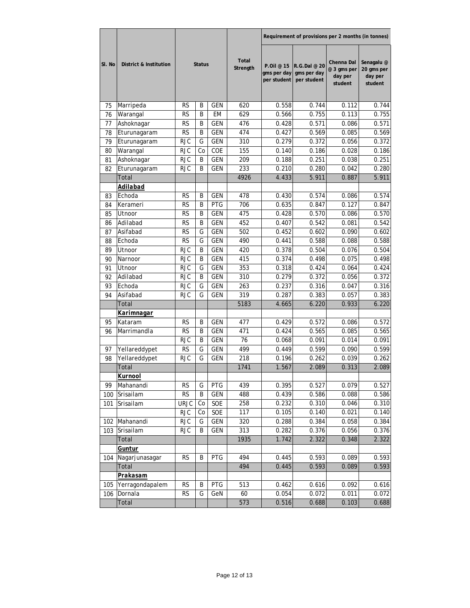|        |                        |             |               |            |                          | Requirement of provisions per 2 months (in tonnes) |                                            |                                                 |                                                |  |
|--------|------------------------|-------------|---------------|------------|--------------------------|----------------------------------------------------|--------------------------------------------|-------------------------------------------------|------------------------------------------------|--|
| SI. No | District & Institution |             | <b>Status</b> |            | <b>Total</b><br>Strength | P.Oil @ 15<br>gms per day<br>per student           | R.G.Dal @ 20<br>gms per day<br>per student | Chenna Dal<br>@ 3 gms per<br>day per<br>student | Senagalu @<br>20 gms per<br>day per<br>student |  |
| 75     | Marripeda              | RS          | B             | GEN        | 620                      | 0.558                                              | 0.744                                      | 0.112                                           | 0.744                                          |  |
| 76     | Warangal               | <b>RS</b>   | B             | EM         | 629                      | 0.566                                              | 0.755                                      | 0.113                                           | 0.755                                          |  |
| 77     | Ashoknagar             | RS          | Β             | GEN        | 476                      | 0.428                                              | 0.571                                      | 0.086                                           | 0.571                                          |  |
| 78     | Eturunagaram           | <b>RS</b>   | B             | <b>GEN</b> | 474                      | 0.427                                              | 0.569                                      | 0.085                                           | 0.569                                          |  |
| 79     | Eturunagaram           | <b>RJC</b>  | G             | <b>GEN</b> | 310                      | 0.279                                              | 0.372                                      | 0.056                                           | 0.372                                          |  |
| 80     | Warangal               | <b>RJC</b>  | Co            | COE        | 155                      | 0.140                                              | 0.186                                      | 0.028                                           | 0.186                                          |  |
| 81     | Ashoknagar             | <b>RJC</b>  | B             | <b>GEN</b> | 209                      | 0.188                                              | 0.251                                      | 0.038                                           | 0.251                                          |  |
| 82     | Eturunagaram           | <b>RJC</b>  | B             | <b>GEN</b> | 233                      | 0.210                                              | 0.280                                      | 0.042                                           | 0.280                                          |  |
|        | Total                  |             |               |            | 4926                     | 4.433                                              | 5.911                                      | 0.887                                           | 5.911                                          |  |
|        | Adilabad               |             |               |            |                          |                                                    |                                            |                                                 |                                                |  |
| 83     | Echoda                 | <b>RS</b>   | B             | <b>GEN</b> | 478                      | 0.430                                              | 0.574                                      | 0.086                                           | 0.574                                          |  |
| 84     | Kerameri               | <b>RS</b>   | B             | PTG        | 706                      | 0.635                                              | 0.847                                      | 0.127                                           | 0.847                                          |  |
| 85     | Utnoor                 | <b>RS</b>   | B             | <b>GEN</b> | 475                      | 0.428                                              | 0.570                                      | 0.086                                           | 0.570                                          |  |
| 86     | Adilabad               | <b>RS</b>   | B             | GEN        | 452                      | 0.407                                              | 0.542                                      | 0.081                                           | 0.542                                          |  |
| 87     | Asifabad               | <b>RS</b>   | G             | GEN        | 502                      | 0.452                                              | 0.602                                      | 0.090                                           | 0.602                                          |  |
| 88     | Echoda                 | <b>RS</b>   | G             | <b>GEN</b> | 490                      | 0.441                                              | 0.588                                      | 0.088                                           | 0.588                                          |  |
| 89     | Utnoor                 | <b>RJC</b>  | B             | <b>GEN</b> | 420                      | 0.378                                              | 0.504                                      | 0.076                                           | 0.504                                          |  |
| 90     | Narnoor                | <b>RJC</b>  | Β             | <b>GEN</b> | 415                      | 0.374                                              | 0.498                                      | 0.075                                           | 0.498                                          |  |
| 91     | Utnoor                 | <b>RJC</b>  | G             | <b>GEN</b> | 353                      | 0.318                                              | 0.424                                      | 0.064                                           | 0.424                                          |  |
| 92     | Adilabad               | <b>RJC</b>  | B             | <b>GEN</b> | 310                      | 0.279                                              | 0.372                                      | 0.056                                           | 0.372                                          |  |
| 93     | Echoda                 | <b>RJC</b>  | G             | <b>GEN</b> | 263                      | 0.237                                              | 0.316                                      | 0.047                                           | 0.316                                          |  |
| 94     | Asifabad               | <b>RJC</b>  | G             | <b>GEN</b> | 319                      | 0.287                                              | 0.383                                      | 0.057                                           | 0.383                                          |  |
|        | Total                  |             |               |            | 5183                     | 4.665                                              | 6.220                                      | 0.933                                           | 6.220                                          |  |
|        | <u>Karimnagar</u>      |             |               |            |                          |                                                    |                                            |                                                 |                                                |  |
| 95     | Kataram                | RS          | B             | <b>GEN</b> | 477                      | 0.429                                              | 0.572                                      | 0.086                                           | 0.572                                          |  |
| 96     | Marrimandla            | <b>RS</b>   | B             | <b>GEN</b> | 471                      | 0.424                                              | 0.565                                      | 0.085                                           | 0.565                                          |  |
|        |                        | RJC         | B             | GEN        | 76                       | 0.068                                              | 0.091                                      | 0.014                                           | 0.091                                          |  |
| 97     | Yellareddypet          | RS          | G             | GEN        | 499                      | 0.449                                              | 0.599                                      | 0.090                                           | 0.599                                          |  |
| 98     | Yellareddypet          | <b>RJC</b>  | G             | <b>GEN</b> | 218                      | 0.196                                              | 0.262                                      | 0.039                                           | 0.262                                          |  |
|        | Total                  |             |               |            | 1741                     | 1.567                                              | 2.089                                      | 0.313                                           | 2.089                                          |  |
|        | Kurnool                |             |               |            |                          |                                                    |                                            |                                                 |                                                |  |
| 99     | Mahanandi              | <b>RS</b>   | G             | PTG        | 439                      | 0.395                                              | 0.527                                      | 0.079                                           | 0.527                                          |  |
| 100    | Srisailam              | RS          | B             | GEN        | 488                      | 0.439                                              | 0.586                                      | 0.088                                           | 0.586                                          |  |
| 101    | Srisailam              | <b>URJC</b> | Co            | SOE        | 258                      | 0.232                                              | 0.310                                      | 0.046                                           | 0.310                                          |  |
|        |                        | <b>RJC</b>  | Co            | SOE        | 117                      | 0.105                                              | 0.140                                      | 0.021                                           | 0.140                                          |  |
| 102    | Mahanandi              | <b>RJC</b>  | G             | GEN        | 320                      | 0.288                                              | 0.384                                      | 0.058                                           | 0.384                                          |  |
| 103    | Srisailam              | <b>RJC</b>  | B             | GEN        | 313                      | 0.282                                              | 0.376                                      | 0.056                                           | 0.376                                          |  |
|        | Total                  |             |               |            | 1935                     | 1.742                                              | 2.322                                      | 0.348                                           | 2.322                                          |  |
|        | <b>Guntur</b>          |             |               |            |                          |                                                    |                                            |                                                 |                                                |  |
| 104    | Nagarjunasagar         | RS          | В             | PTG        | 494                      | 0.445                                              | 0.593                                      | 0.089                                           | 0.593                                          |  |
|        | Total                  |             |               |            | 494                      | 0.445                                              | 0.593                                      | 0.089                                           | 0.593                                          |  |
|        | Prakasam               |             |               |            |                          |                                                    |                                            |                                                 |                                                |  |
| 105    | Yerragondapalem        | RS          | Β             | PTG        | 513                      | 0.462                                              | 0.616                                      | 0.092                                           | 0.616                                          |  |
| 106    | Dornala                | <b>RS</b>   | G             | GeN        | 60                       | 0.054                                              | 0.072                                      | 0.011                                           | 0.072                                          |  |
|        | Total                  |             |               |            | 573                      | 0.516                                              | 0.688                                      | 0.103                                           | 0.688                                          |  |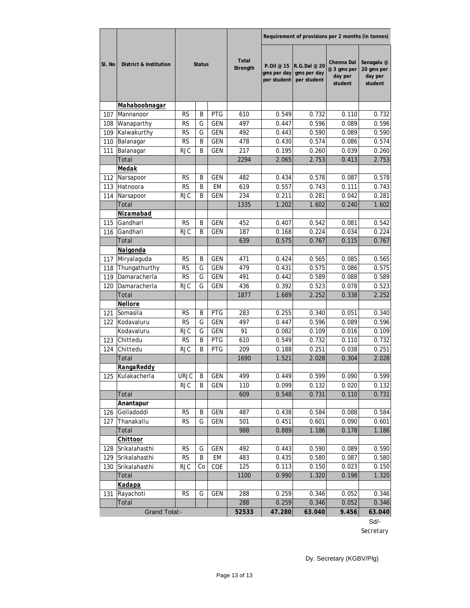|        |                        |                    |               |            |                          | Requirement of provisions per 2 months (in tonnes) |                                            |                                                 |                                                |  |
|--------|------------------------|--------------------|---------------|------------|--------------------------|----------------------------------------------------|--------------------------------------------|-------------------------------------------------|------------------------------------------------|--|
| SI. No | District & Institution |                    | <b>Status</b> |            | <b>Total</b><br>Strength | P.Oil @ 15<br>gms per day<br>per student           | R.G.Dal @ 20<br>gms per day<br>per student | Chenna Dal<br>@ 3 gms per<br>day per<br>student | Senagalu @<br>20 gms per<br>day per<br>student |  |
|        | Mahaboobnagar          |                    |               |            |                          |                                                    |                                            |                                                 |                                                |  |
| 107    | Mannanoor              | RS                 | B             | <b>PTG</b> | 610                      | 0.549                                              | 0.732                                      | 0.110                                           | 0.732                                          |  |
| 108    | Wanaparthy             | RS                 | G             | <b>GEN</b> | 497                      | 0.447                                              | 0.596                                      | 0.089                                           | 0.596                                          |  |
| 109    | Kalwakurthy            | RS                 | G             | GEN        | 492                      | 0.443                                              | 0.590                                      | 0.089                                           | 0.590                                          |  |
| 110    | Balanagar              | RS                 | B             | GEN        | 478                      | 0.430                                              | 0.574                                      | 0.086                                           | 0.574                                          |  |
| 111    | Balanagar              | <b>RJC</b>         | B             | <b>GEN</b> | 217                      | 0.195                                              | 0.260                                      | 0.039                                           | 0.260                                          |  |
|        | Total                  |                    |               |            | 2294                     | 2.065                                              | 2.753                                      | 0.413                                           | 2.753                                          |  |
|        | <u>Medak</u>           |                    |               |            |                          |                                                    |                                            |                                                 |                                                |  |
| 112    | Narsapoor              | RS                 | B             | <b>GEN</b> | 482                      | 0.434                                              | 0.578                                      | 0.087                                           | 0.578                                          |  |
| 113    | Hatnoora               | <b>RS</b>          | Β             | <b>EM</b>  | 619                      | 0.557                                              | 0.743                                      | 0.111                                           | 0.743                                          |  |
| 114    | Narsapoor              | <b>RJC</b>         | B             | <b>GEN</b> | 234                      | 0.211                                              | 0.281                                      | 0.042                                           | 0.281                                          |  |
|        | Total                  |                    |               |            | 1335                     | 1.202                                              | 1.602                                      | 0.240                                           | 1.602                                          |  |
|        | Nizamabad              |                    |               |            |                          |                                                    |                                            |                                                 |                                                |  |
| 115    | Gandhari               | <b>RS</b>          | B             | <b>GEN</b> | 452                      | 0.407                                              | 0.542                                      | 0.081                                           | 0.542                                          |  |
| 116    | Gandhari               | <b>RJC</b>         | B             | <b>GEN</b> | 187                      | 0.168                                              | 0.224                                      | 0.034                                           | 0.224                                          |  |
|        | Total                  |                    |               |            | 639                      | 0.575                                              | 0.767                                      | 0.115                                           | 0.767                                          |  |
|        | <b>Nalgonda</b>        |                    |               |            |                          |                                                    |                                            |                                                 |                                                |  |
| 117    | Miryalaguda            | <b>RS</b>          | B             | <b>GEN</b> | 471                      | 0.424                                              | 0.565                                      | 0.085                                           | 0.565                                          |  |
| 118    | Thungathurthy          | <b>RS</b>          | G             | <b>GEN</b> | 479                      | 0.431                                              | 0.575                                      | 0.086                                           | 0.575                                          |  |
| 119    | Damaracherla           | <b>RS</b>          | G             | <b>GEN</b> | 491                      | 0.442                                              | 0.589                                      | 0.088                                           | 0.589                                          |  |
| 120    | Damaracherla           | <b>RJC</b>         | G             | <b>GEN</b> | 436                      | 0.392                                              | 0.523                                      | 0.078                                           | 0.523                                          |  |
|        | Total                  |                    |               |            | 1877                     | 1.689                                              | 2.252                                      | 0.338                                           | 2.252                                          |  |
|        | Nellore                |                    |               |            |                          |                                                    |                                            |                                                 |                                                |  |
| 121    | Somasila               | RS                 | B             | <b>PTG</b> | 283                      | 0.255                                              | 0.340                                      | 0.051                                           | 0.340                                          |  |
| 122    | Kodavaluru             | <b>RS</b>          | G             | <b>GEN</b> | 497                      | 0.447                                              | 0.596                                      | 0.089                                           | 0.596<br>0.109                                 |  |
|        | Kodavaluru             | <b>RJC</b>         | G             | GEN        | 91                       | 0.082                                              | 0.109                                      | 0.016                                           |                                                |  |
| 123    | Chittedu               | <b>RS</b>          | B             | <b>PTG</b> | 610                      | 0.549                                              | 0.732                                      | 0.110                                           | 0.732                                          |  |
| 124    | Chittedu<br>Total      | RJC                | B             | <b>PTG</b> | 209<br>1690              | 0.188                                              | 0.251<br>2.028                             | 0.038                                           | 0.251<br>2.028                                 |  |
|        |                        |                    |               |            |                          | 1.521                                              |                                            | 0.304                                           |                                                |  |
|        | <b>RangaReddy</b>      |                    |               |            |                          |                                                    |                                            |                                                 |                                                |  |
| 125    | Kulakacherla           | URJC<br><b>RJC</b> | В<br>B        | GEN<br>GEN | 499.<br>110              | 0.449<br>0.099                                     | 0.599<br>0.132                             | 0.090<br>0.020                                  | 0.599<br>0.132                                 |  |
|        | Total                  |                    |               |            | 609                      | 0.548                                              | 0.731                                      | 0.110                                           | 0.731                                          |  |
|        | Anantapur              |                    |               |            |                          |                                                    |                                            |                                                 |                                                |  |
| 126    | Golladoddi             | RS                 | Β             | GEN        | 487                      | 0.438                                              | 0.584                                      | 0.088                                           | 0.584                                          |  |
| 127    | Thanakallu             | RS                 | G             | GEN        | 501                      | 0.451                                              | 0.601                                      | 0.090                                           | 0.601                                          |  |
|        | Total                  |                    |               |            | 988                      | 0.889                                              | 1.186                                      | 0.178                                           | 1.186                                          |  |
|        | Chittoor               |                    |               |            |                          |                                                    |                                            |                                                 |                                                |  |
| 128    | Srikalahasthi          | RS                 | G             | GEN        | 492                      | 0.443                                              | 0.590                                      | 0.089                                           | 0.590                                          |  |
| 129    | Srikalahasthi          | RS                 | B             | EM         | 483                      | 0.435                                              | 0.580                                      | 0.087                                           | 0.580                                          |  |
| 130    | Srikalahasthi          | <b>RJC</b>         | Co            | COE        | 125                      | 0.113                                              | 0.150                                      | 0.023                                           | 0.150                                          |  |
|        | Total                  |                    |               |            | 1100                     | 0.990                                              | 1.320                                      | 0.198                                           | 1.320                                          |  |
|        | Kadapa                 |                    |               |            |                          |                                                    |                                            |                                                 |                                                |  |
| 131    | Rayachoti              | <b>RS</b>          | G             | <b>GEN</b> | 288                      | 0.259                                              | 0.346                                      | 0.052                                           | 0.346                                          |  |
|        | Total                  |                    |               |            | 288                      | 0.259                                              | 0.346                                      | 0.052                                           | 0.346                                          |  |
|        | <b>Grand Total:-</b>   |                    |               |            | 52533                    | 47.280                                             | 63.040                                     | 9.456                                           | 63.040                                         |  |
|        |                        |                    |               |            |                          |                                                    |                                            |                                                 |                                                |  |

Sd/- Secretary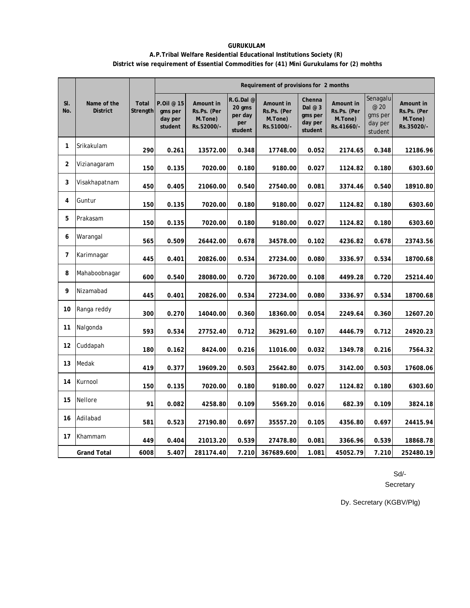### **GURUKULAM A.P.Tribal Welfare Residential Educational Institutions Society (R) District wise requirement of Essential Commodities for (41) Mini Gurukulams for (2) mohths**

|                |                                |                          |                                             |                                                   |                                                 | Requirement of provisions for 2 months            |                                                     |                                                   |                                                   |                                                   |
|----------------|--------------------------------|--------------------------|---------------------------------------------|---------------------------------------------------|-------------------------------------------------|---------------------------------------------------|-----------------------------------------------------|---------------------------------------------------|---------------------------------------------------|---------------------------------------------------|
| SI.<br>No.     | Name of the<br><b>District</b> | <b>Total</b><br>Strength | P.Oil @ 15<br>gms per<br>day per<br>student | Amount in<br>Rs.Ps. (Per<br>M.Tone)<br>Rs.52000/- | R.G.Dal@<br>20 gms<br>per day<br>per<br>student | Amount in<br>Rs.Ps. (Per<br>M.Tone)<br>Rs.51000/- | Chenna<br>Dal $@3$<br>gms per<br>day per<br>student | Amount in<br>Rs.Ps. (Per<br>M.Tone)<br>Rs.41660/- | Senagalu<br>@ 20<br>gms per<br>day per<br>student | Amount in<br>Rs.Ps. (Per<br>M.Tone)<br>Rs.35020/- |
| 1              | Srikakulam                     | 290                      | 0.261                                       | 13572.00                                          | 0.348                                           | 17748.00                                          | 0.052                                               | 2174.65                                           | 0.348                                             | 12186.96                                          |
| 2              | Vizianagaram                   | 150                      | 0.135                                       | 7020.00                                           | 0.180                                           | 9180.00                                           | 0.027                                               | 1124.82                                           | 0.180                                             | 6303.60                                           |
| 3              | Visakhapatnam                  | 450                      | 0.405                                       | 21060.00                                          | 0.540                                           | 27540.00                                          | 0.081                                               | 3374.46                                           | 0.540                                             | 18910.80                                          |
| 4              | Guntur                         | 150                      | 0.135                                       | 7020.00                                           | 0.180                                           | 9180.00                                           | 0.027                                               | 1124.82                                           | 0.180                                             | 6303.60                                           |
| 5              | Prakasam                       | 150                      | 0.135                                       | 7020.00                                           | 0.180                                           | 9180.00                                           | 0.027                                               | 1124.82                                           | 0.180                                             | 6303.60                                           |
| 6              | Warangal                       | 565                      | 0.509                                       | 26442.00                                          | 0.678                                           | 34578.00                                          | 0.102                                               | 4236.82                                           | 0.678                                             | 23743.56                                          |
| $\overline{7}$ | Karimnagar                     | 445                      | 0.401                                       | 20826.00                                          | 0.534                                           | 27234.00                                          | 0.080                                               | 3336.97                                           | 0.534                                             | 18700.68                                          |
| 8              | Mahaboobnagar                  | 600                      | 0.540                                       | 28080.00                                          | 0.720                                           | 36720.00                                          | 0.108                                               | 4499.28                                           | 0.720                                             | 25214.40                                          |
| 9              | Nizamabad                      | 445                      | 0.401                                       | 20826.00                                          | 0.534                                           | 27234.00                                          | 0.080                                               | 3336.97                                           | 0.534                                             | 18700.68                                          |
| 10             | Ranga reddy                    | 300                      | 0.270                                       | 14040.00                                          | 0.360                                           | 18360.00                                          | 0.054                                               | 2249.64                                           | 0.360                                             | 12607.20                                          |
| 11             | Nalgonda                       | 593                      | 0.534                                       | 27752.40                                          | 0.712                                           | 36291.60                                          | 0.107                                               | 4446.79                                           | 0.712                                             | 24920.23                                          |
| 12             | Cuddapah                       | 180                      | 0.162                                       | 8424.00                                           | 0.216                                           | 11016.00                                          | 0.032                                               | 1349.78                                           | 0.216                                             | 7564.32                                           |
| 13             | Medak                          | 419                      | 0.377                                       | 19609.20                                          | 0.503                                           | 25642.80                                          | 0.075                                               | 3142.00                                           | 0.503                                             | 17608.06                                          |
| 14             | Kurnool                        | 150                      | 0.135                                       | 7020.00                                           | 0.180                                           | 9180.00                                           | 0.027                                               | 1124.82                                           | 0.180                                             | 6303.60                                           |
| 15             | Nellore                        | 91                       | 0.082                                       | 4258.80                                           | 0.109                                           | 5569.20                                           | 0.016                                               | 682.39                                            | 0.109                                             | 3824.18                                           |
| 16             | Adilabad                       | 581                      | 0.523                                       | 27190.80                                          | 0.697                                           | 35557.20                                          | 0.105                                               | 4356.80                                           | 0.697                                             | 24415.94                                          |
| 17             | Khammam                        | 449                      | 0.404                                       | 21013.20                                          | 0.539                                           | 27478.80                                          | 0.081                                               | 3366.96                                           | 0.539                                             | 18868.78                                          |
|                | <b>Grand Total</b>             | 6008                     | 5.407                                       | 281174.40                                         | 7.210                                           | 367689.600                                        | 1.081                                               | 45052.79                                          | 7.210                                             | 252480.19                                         |

Sd/-

Secretary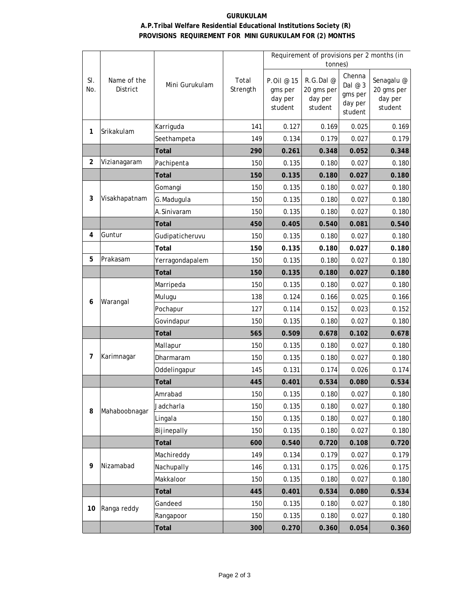## **GURUKULAM A.P.Tribal Welfare Residential Educational Institutions Society (R) PROVISIONS REQUIREMENT FOR MINI GURUKULAM FOR (2) MONTHS**

|                |                         |                 |                   | Requirement of provisions per 2 months (in  |                                               |                                                     |                                                |  |  |
|----------------|-------------------------|-----------------|-------------------|---------------------------------------------|-----------------------------------------------|-----------------------------------------------------|------------------------------------------------|--|--|
|                |                         |                 |                   |                                             | tonnes)                                       |                                                     |                                                |  |  |
| SI.<br>No.     | Name of the<br>District | Mini Gurukulam  | Total<br>Strength | P.Oil @ 15<br>gms per<br>day per<br>student | R.G.Dal @<br>20 gms per<br>day per<br>student | Chenna<br>Dal $@3$<br>gms per<br>day per<br>student | Senagalu @<br>20 gms per<br>day per<br>student |  |  |
|                |                         | Karriguda       | 141               | 0.127                                       | 0.169                                         | 0.025                                               | 0.169                                          |  |  |
| 1              | Srikakulam              | Seethampeta     | 149               | 0.134                                       | 0.179                                         | 0.027                                               | 0.179                                          |  |  |
|                |                         | <b>Total</b>    | 290               | 0.261                                       | 0.348                                         | 0.052                                               | 0.348                                          |  |  |
| $\overline{a}$ | Vizianagaram            | Pachipenta      | 150               | 0.135                                       | 0.180                                         | 0.027                                               | 0.180                                          |  |  |
|                |                         | <b>Total</b>    | 150               | 0.135                                       | 0.180                                         | 0.027                                               | 0.180                                          |  |  |
|                |                         | Gomangi         | 150               | 0.135                                       | 0.180                                         | 0.027                                               | 0.180                                          |  |  |
| 3              | Visakhapatnam           | G.Madugula      | 150               | 0.135                                       | 0.180                                         | 0.027                                               | 0.180                                          |  |  |
|                |                         | A.Sinivaram     | 150               | 0.135                                       | 0.180                                         | 0.027                                               | 0.180                                          |  |  |
|                |                         | <b>Total</b>    | 450               | 0.405                                       | 0.540                                         | 0.081                                               | 0.540                                          |  |  |
| 4              | Guntur                  | Gudipaticheruvu | 150               | 0.135                                       | 0.180                                         | 0.027                                               | 0.180                                          |  |  |
|                |                         | Total           | 150               | 0.135                                       | 0.180                                         | 0.027                                               | 0.180                                          |  |  |
| 5              | Prakasam                | Yerragondapalem | 150               | 0.135                                       | 0.180                                         | 0.027                                               | 0.180                                          |  |  |
|                |                         | <b>Total</b>    | 150               | 0.135                                       | 0.180                                         | 0.027                                               | 0.180                                          |  |  |
|                |                         | Marripeda       | 150               | 0.135                                       | 0.180                                         | 0.027                                               | 0.180                                          |  |  |
| 6              | Warangal                | Mulugu          | 138               | 0.124                                       | 0.166                                         | 0.025                                               | 0.166                                          |  |  |
|                |                         | Pochapur        | 127               | 0.114                                       | 0.152                                         | 0.023                                               | 0.152                                          |  |  |
|                |                         | Govindapur      | 150               | 0.135                                       | 0.180                                         | 0.027                                               | 0.180                                          |  |  |
|                |                         | <b>Total</b>    | 565               | 0.509                                       | 0.678                                         | 0.102                                               | 0.678                                          |  |  |
|                |                         | Mallapur        | 150               | 0.135                                       | 0.180                                         | 0.027                                               | 0.180                                          |  |  |
| 7              | Karimnagar              | Dharmaram       | 150               | 0.135                                       | 0.180                                         | 0.027                                               | 0.180                                          |  |  |
|                |                         | Oddelingapur    | 145               | 0.131                                       | 0.174                                         | 0.026                                               | 0.174                                          |  |  |
|                |                         | <b>Total</b>    | 445               | 0.401                                       | 0.534                                         | 0.080                                               | 0.534                                          |  |  |
|                |                         | Amrabad         | 150               | 0.135                                       | 0.180                                         | 0.027                                               | 0.180                                          |  |  |
| 8              | Mahaboobnagar           | Jadcharla       | 150               | 0.135                                       | 0.180                                         | 0.027                                               | 0.180                                          |  |  |
|                |                         | Lingala         | 150               | 0.135                                       | 0.180                                         | 0.027                                               | 0.180                                          |  |  |
|                |                         | Bijinepally     | 150               | 0.135                                       | 0.180                                         | 0.027                                               | 0.180                                          |  |  |
|                |                         | <b>Total</b>    | 600               | 0.540                                       | 0.720                                         | 0.108                                               | 0.720                                          |  |  |
|                |                         | Machireddy      | 149               | 0.134                                       | 0.179                                         | 0.027                                               | 0.179                                          |  |  |
| 9              | Nizamabad               | Nachupally      | 146               | 0.131                                       | 0.175                                         | 0.026                                               | 0.175                                          |  |  |
|                |                         | Makkaloor       | 150               | 0.135                                       | 0.180                                         | 0.027                                               | 0.180                                          |  |  |
|                |                         | Total           | 445               | 0.401                                       | 0.534                                         | 0.080                                               | 0.534                                          |  |  |
| 10             | Ranga reddy             | Gandeed         | 150               | 0.135                                       | 0.180                                         | 0.027                                               | 0.180                                          |  |  |
|                |                         | Rangapoor       | 150               | 0.135                                       | 0.180                                         | 0.027                                               | 0.180                                          |  |  |
|                |                         | <b>Total</b>    | 300               | 0.270                                       | 0.360                                         | 0.054                                               | 0.360                                          |  |  |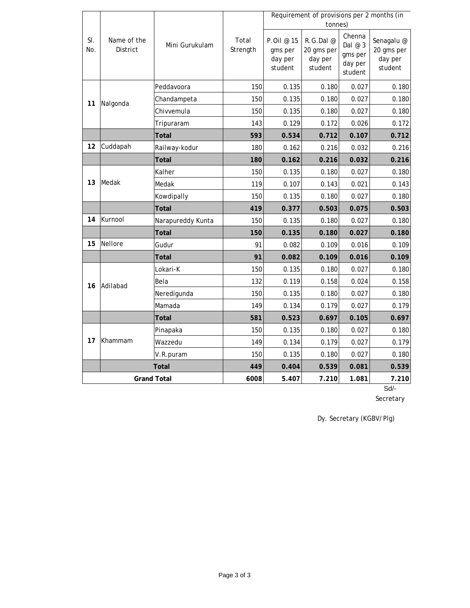|                    |                         |                   |                   |                                             | Requirement of provisions per 2 months (in<br>tonnes) |                                                    |                                                |
|--------------------|-------------------------|-------------------|-------------------|---------------------------------------------|-------------------------------------------------------|----------------------------------------------------|------------------------------------------------|
| SI.<br>No.         | Name of the<br>District | Mini Gurukulam    | Total<br>Strength | P.Oil @ 15<br>gms per<br>day per<br>student | R.G.Dal@<br>20 gms per<br>day per<br>student          | Chenna<br>Dal @ 3<br>gms per<br>day per<br>student | Senagalu @<br>20 gms per<br>day per<br>student |
|                    |                         | Peddavoora        | 150               | 0.135                                       | 0.180                                                 | 0.027                                              | 0.180                                          |
| 11                 | Nalgonda                | Chandampeta       | 150               | 0.135                                       | 0.180                                                 | 0.027                                              | 0.180                                          |
|                    |                         | Chivvemula        | 150               | 0.135                                       | 0.180                                                 | 0.027                                              | 0.180                                          |
|                    |                         | Tripuraram        | 143               | 0.129                                       | 0.172                                                 | 0.026                                              | 0.172                                          |
|                    |                         | Total             | 593               | 0.534                                       | 0.712                                                 | 0.107                                              | 0.712                                          |
| 12                 | Cuddapah                | Railway-kodur     | 180               | 0.162                                       | 0.216                                                 | 0.032                                              | 0.216                                          |
|                    |                         | Total             | 180               | 0.162                                       | 0.216                                                 | 0.032                                              | 0.216                                          |
|                    | Medak                   | Kalher            | 150               | 0.135                                       | 0.180                                                 | 0.027                                              | 0.180                                          |
| 13                 |                         | Medak             | 119               | 0.107                                       | 0.143                                                 | 0.021                                              | 0.143                                          |
|                    |                         | Kowdipally        | 150               | 0.135                                       | 0.180                                                 | 0.027                                              | 0.180                                          |
|                    |                         | <b>Total</b>      | 419               | 0.377                                       | 0.503                                                 | 0.075                                              | 0.503                                          |
| 14                 | Kurnool                 | Narapureddy Kunta | 150               | 0.135                                       | 0.180                                                 | 0.027                                              | 0.180                                          |
|                    |                         | <b>Total</b>      | 150               | 0.135                                       | 0.180                                                 | 0.027                                              | 0.180                                          |
| 15                 | Nellore                 | Gudur             | 91                | 0.082                                       | 0.109                                                 | 0.016                                              | 0.109                                          |
|                    |                         | <b>Total</b>      | 91                | 0.082                                       | 0.109                                                 | 0.016                                              | 0.109                                          |
|                    |                         | Lokari-K          | 150               | 0.135                                       | 0.180                                                 | 0.027                                              | 0.180                                          |
| 16                 | Adilabad                | Bela              | 132               | 0.119                                       | 0.158                                                 | 0.024                                              | 0.158                                          |
|                    |                         | Neredigunda       | 150               | 0.135                                       | 0.180                                                 | 0.027                                              | 0.180                                          |
|                    |                         | Mamada            | 149               | 0.134                                       | 0.179                                                 | 0.027                                              | 0.179                                          |
|                    |                         | <b>Total</b>      | 581               | 0.523                                       | 0.697                                                 | 0.105                                              | 0.697                                          |
|                    |                         | Pinapaka          | 150               | 0.135                                       | 0.180                                                 | 0.027                                              | 0.180                                          |
| 17                 | Khammam                 | Wazzedu           | 149               | 0.134                                       | 0.179                                                 | 0.027                                              | 0.179                                          |
|                    |                         | V.R. puram        | 150               | 0.135                                       | 0.180                                                 | 0.027                                              | 0.180                                          |
|                    |                         | 449               | 0.404             | 0.539                                       | 0.081                                                 | 0.539                                              |                                                |
| <b>Grand Total</b> |                         |                   | 6008              | 5.407                                       | 7.210                                                 | 1.081                                              | 7.210                                          |

Sd/-

Secretary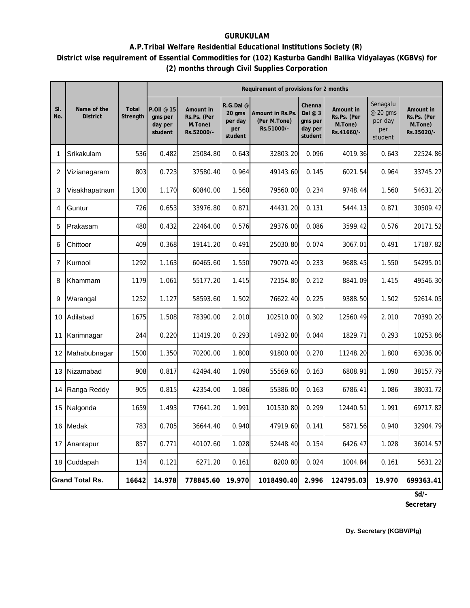## **GURUKULAM**

## **District wise requirement of Essential Commodities for (102) Kasturba Gandhi Balika Vidyalayas (KGBVs) for (2) months through Civil Supplies Corporation A.P.Tribal Welfare Residential Educational Institutions Society (R)**

|            |                                |                   | Requirement of provisions for 2 months      |                                                   |                                                  |                                                |                                                     |                                                   |                                                   |                                                   |
|------------|--------------------------------|-------------------|---------------------------------------------|---------------------------------------------------|--------------------------------------------------|------------------------------------------------|-----------------------------------------------------|---------------------------------------------------|---------------------------------------------------|---------------------------------------------------|
| SI.<br>No. | Name of the<br><b>District</b> | Total<br>Strength | P.Oil @ 15<br>gms per<br>day per<br>student | Amount in<br>Rs.Ps. (Per<br>M.Tone)<br>Rs.52000/- | R.G.Dal @<br>20 gms<br>per day<br>per<br>student | Amount in Rs.Ps.<br>(Per M.Tone)<br>Rs.51000/- | Chenna<br>Dal $@3$<br>gms per<br>day per<br>student | Amount in<br>Rs.Ps. (Per<br>M.Tone)<br>Rs.41660/- | Senagalu<br>@ 20 gms<br>per day<br>per<br>student | Amount in<br>Rs.Ps. (Per<br>M.Tone)<br>Rs.35020/- |
| 1          | Srikakulam                     | 536               | 0.482                                       | 25084.80                                          | 0.643                                            | 32803.20                                       | 0.096                                               | 4019.36                                           | 0.643                                             | 22524.86                                          |
| 2          | Vizianagaram                   | 803               | 0.723                                       | 37580.40                                          | 0.964                                            | 49143.60                                       | 0.145                                               | 6021.54                                           | 0.964                                             | 33745.27                                          |
| 3          | Visakhapatnam                  | 1300              | 1.170                                       | 60840.00                                          | 1.560                                            | 79560.00                                       | 0.234                                               | 9748.44                                           | 1.560                                             | 54631.20                                          |
| 4          | Guntur                         | 726               | 0.653                                       | 33976.80                                          | 0.871                                            | 44431.20                                       | 0.131                                               | 5444.13                                           | 0.871                                             | 30509.42                                          |
| 5          | Prakasam                       | 480               | 0.432                                       | 22464.00                                          | 0.576                                            | 29376.00                                       | 0.086                                               | 3599.42                                           | 0.576                                             | 20171.52                                          |
| 6          | Chittoor                       | 409               | 0.368                                       | 19141.20                                          | 0.491                                            | 25030.80                                       | 0.074                                               | 3067.01                                           | 0.491                                             | 17187.82                                          |
| 7          | Kurnool                        | 1292              | 1.163                                       | 60465.60                                          | 1.550                                            | 79070.40                                       | 0.233                                               | 9688.45                                           | 1.550                                             | 54295.01                                          |
| 8          | Khammam                        | 1179              | 1.061                                       | 55177.20                                          | 1.415                                            | 72154.80                                       | 0.212                                               | 8841.09                                           | 1.415                                             | 49546.30                                          |
| 9          | Warangal                       | 1252              | 1.127                                       | 58593.60                                          | 1.502                                            | 76622.40                                       | 0.225                                               | 9388.50                                           | 1.502                                             | 52614.05                                          |
| 10         | Adilabad                       | 1675              | 1.508                                       | 78390.00                                          | 2.010                                            | 102510.00                                      | 0.302                                               | 12560.49                                          | 2.010                                             | 70390.20                                          |
| 11         | Karimnagar                     | 244               | 0.220                                       | 11419.20                                          | 0.293                                            | 14932.80                                       | 0.044                                               | 1829.71                                           | 0.293                                             | 10253.86                                          |
| 12         | Mahabubnagar                   | 1500              | 1.350                                       | 70200.00                                          | 1.800                                            | 91800.00                                       | 0.270                                               | 11248.20                                          | 1.800                                             | 63036.00                                          |
| 13         | Nizamabad                      | 908               | 0.817                                       | 42494.40                                          | 1.090                                            | 55569.60                                       | 0.163                                               | 6808.91                                           | 1.090                                             | 38157.79                                          |
| 14         | Ranga Reddy                    | 905               | 0.815                                       | 42354.00                                          | 1.086                                            | 55386.00                                       | 0.163                                               | 6786.41                                           | 1.086                                             | 38031.72                                          |
| 15         | Nalgonda                       | 1659              | 1.493                                       | 77641.20                                          | 1.991                                            | 101530.80                                      | 0.299                                               | 12440.51                                          | 1.991                                             | 69717.82                                          |
|            | 16 Medak                       | 783               | 0.705                                       | 36644.40                                          | 0.940                                            | 47919.60                                       | 0.141                                               | 5871.56                                           | 0.940                                             | 32904.79                                          |
| 17         | Anantapur                      | 857               | 0.771                                       | 40107.60                                          | 1.028                                            | 52448.40                                       | 0.154                                               | 6426.47                                           | 1.028                                             | 36014.57                                          |
|            | 18 Cuddapah                    | 134               | 0.121                                       | 6271.20                                           | 0.161                                            | 8200.80                                        | 0.024                                               | 1004.84                                           | 0.161                                             | 5631.22                                           |
|            | <b>Grand Total Rs.</b>         | 16642             | 14.978                                      | 778845.60                                         | 19.970                                           | 1018490.40                                     | 2.996                                               | 124795.03                                         | 19.970                                            | 699363.41                                         |
|            |                                |                   |                                             |                                                   |                                                  |                                                |                                                     |                                                   |                                                   | Sd/-                                              |

**Secretary**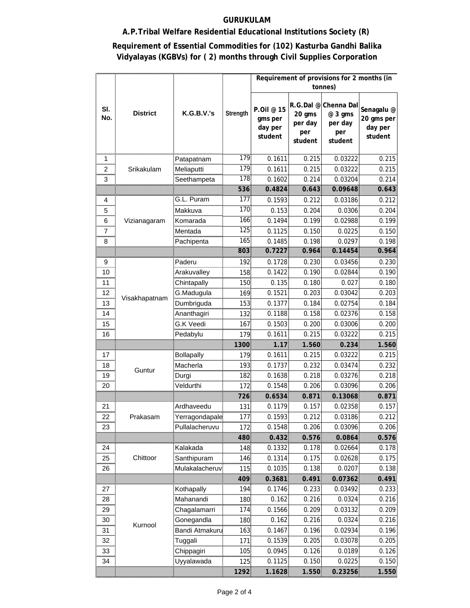## **GURUKULAM**

## **A.P.Tribal Welfare Residential Educational Institutions Society (R)**

## **Requirement of Essential Commodities for (102) Kasturba Gandhi Balika Vidyalayas (KGBVs) for ( 2) months through Civil Supplies Corporation**

|                      |                 |                                  |                  | Requirement of provisions for 2 months (in<br>tonnes) |                                     |                                                              |                                                |  |  |  |  |
|----------------------|-----------------|----------------------------------|------------------|-------------------------------------------------------|-------------------------------------|--------------------------------------------------------------|------------------------------------------------|--|--|--|--|
|                      |                 |                                  |                  |                                                       |                                     |                                                              |                                                |  |  |  |  |
| SI.<br>No.           | <b>District</b> | <b>K.G.B.V.'s</b>                | Strength         | P.Oil @ 15<br>gms per<br>day per<br>student           | 20 gms<br>per day<br>per<br>student | R.G.Dal @ Chenna Dal<br>@ 3 gms<br>per day<br>per<br>student | Senagalu @<br>20 gms per<br>day per<br>student |  |  |  |  |
|                      |                 |                                  | 179              |                                                       |                                     |                                                              |                                                |  |  |  |  |
| 1                    |                 | Patapatnam                       | 179              | 0.1611                                                | 0.215                               | 0.03222                                                      | 0.215                                          |  |  |  |  |
| 2                    | Srikakulam      | Meliaputti                       | 178              | 0.1611                                                | 0.215                               | 0.03222                                                      | 0.215                                          |  |  |  |  |
| 3                    |                 | Seethampeta                      | 536              | 0.1602<br>0.4824                                      | 0.214<br>0.643                      | 0.03204<br>0.09648                                           | 0.214<br>0.643                                 |  |  |  |  |
|                      |                 | G.L. Puram                       | 177              |                                                       |                                     |                                                              |                                                |  |  |  |  |
| 4                    |                 |                                  | 170              | 0.1593                                                | 0.212                               | 0.03186                                                      | 0.212                                          |  |  |  |  |
| 5                    |                 | Makkuva                          | 166              | 0.153<br>0.1494                                       | 0.204                               | 0.0306                                                       | 0.204                                          |  |  |  |  |
| 6                    | Vizianagaram    | Komarada                         | 125              |                                                       | 0.199                               | 0.02988                                                      | 0.199                                          |  |  |  |  |
| 7                    |                 | Mentada                          | 165              | 0.1125                                                | 0.150                               | 0.0225                                                       | 0.150                                          |  |  |  |  |
| 8                    |                 | Pachipenta                       | 803              | 0.1485<br>0.7227                                      | 0.198<br>0.964                      | 0.0297<br>0.14454                                            | 0.198<br>0.964                                 |  |  |  |  |
|                      |                 |                                  |                  |                                                       | 0.230                               |                                                              |                                                |  |  |  |  |
| 9                    |                 | Paderu                           | 192              | 0.1728                                                |                                     | 0.03456                                                      | 0.230                                          |  |  |  |  |
| 10<br>.              |                 | Arakuvalley                      | 158.             | 0.1422                                                | 0.190                               | 0.02844                                                      | 0.190                                          |  |  |  |  |
| 11                   |                 | Chintapally                      | 150              | 0.135                                                 | 0.180                               | 0.027                                                        | 0.180                                          |  |  |  |  |
| 12                   | Visakhapatnam   | G.Madugula                       | 169.             | 0.1521                                                | 0.203                               | 0.03042                                                      | 0.203                                          |  |  |  |  |
| 13                   |                 | Dumbriguda                       | 153.             | 0.1377                                                | 0.184                               | 0.02754                                                      | 0.184                                          |  |  |  |  |
| 14                   |                 | Ananthagiri                      | 132.             | 0.1188                                                | 0.158                               | 0.02376                                                      | 0.158                                          |  |  |  |  |
| 15                   |                 | G.K Veedi                        | 167.             | 0.1503                                                | 0.200                               | 0.03006                                                      | 0.200                                          |  |  |  |  |
| 16                   |                 | Pedabylu<br>                     | 179              | 0.1611<br>1.17                                        | 0.215<br>1.560                      | 0.03222<br>0.234                                             | 0.215                                          |  |  |  |  |
| 17                   |                 |                                  | 1300             |                                                       |                                     |                                                              | 1.560                                          |  |  |  |  |
| 18                   |                 | Bollapally<br>Macherla           | 179.<br>193.     | 0.1611<br>0.1737                                      | 0.215<br>0.232                      | 0.03222<br>0.03474                                           | 0.215<br>0.232                                 |  |  |  |  |
| .                    | Guntur          |                                  |                  | 0.1638                                                | 0.218                               |                                                              | 0.218                                          |  |  |  |  |
| 19                   |                 | Durgi<br>Veldurthi               | 182<br>172       | 0.1548                                                | 0.206                               | 0.03276<br>0.03096                                           | 0.206                                          |  |  |  |  |
| 20                   |                 |                                  |                  |                                                       |                                     |                                                              |                                                |  |  |  |  |
|                      |                 | Ardhaveedu                       | 726.             | 0.6534<br>0.1179                                      | 0.871                               | 0.13068                                                      | 0.871                                          |  |  |  |  |
| 21                   |                 |                                  | 131!<br>177.     | 0.1593                                                | 0.157                               | 0.02358                                                      | 0.157                                          |  |  |  |  |
| 22<br>23             | Prakasam        | Yerragondapale<br>Pullalacheruvu | 172 <sup>°</sup> | 0.1548                                                | 0.212<br>0.206                      | 0.03186<br>0.03096                                           | 0.212<br>0.206                                 |  |  |  |  |
|                      |                 |                                  | 480.             | 0.432                                                 | 0.576                               | 0.0864                                                       |                                                |  |  |  |  |
| 24                   |                 | Kalakada                         | 148.             | 0.1332                                                | 0.178                               | 0.02664                                                      | 0.576                                          |  |  |  |  |
| 25                   | Chittoor        | Santhipuram                      | 146              | 0.1314                                                | 0.175                               | 0.02628                                                      | 0.178<br>0.175                                 |  |  |  |  |
| 26                   |                 | Mulakalacheruv                   | 115              | 0.1035                                                | 0.138                               | 0.0207                                                       | 0.138                                          |  |  |  |  |
|                      |                 |                                  | 409.             | 0.3681                                                | 0.491                               | 0.07362                                                      | 0.491                                          |  |  |  |  |
| 27                   |                 | Kothapally                       |                  | 0.1746                                                | 0.233                               | 0.03492                                                      | 0.233                                          |  |  |  |  |
|                      |                 | Mahanandi                        | 194.             | 0.162                                                 |                                     | 0.0324                                                       | 0.216                                          |  |  |  |  |
| 28<br>29             |                 | Chagalamarri                     | 180.<br>174      | 0.1566                                                | 0.216<br>0.209                      | 0.03132                                                      | 0.209                                          |  |  |  |  |
|                      |                 | Gonegandla                       | 180              | 0.162                                                 | 0.216                               | 0.0324                                                       | 0.216                                          |  |  |  |  |
| $\frac{30}{2}$<br>31 | Kurnool         |                                  | 163.             | 0.1467                                                | 0.196                               | 0.02934                                                      | 0.196                                          |  |  |  |  |
| <br>32               |                 | Bandi Atmakuru                   |                  | 0.1539                                                | 0.205                               | 0.03078                                                      | 0.205                                          |  |  |  |  |
| 33                   |                 | Tuggali<br>Chippagiri            | 171:<br>105.     | 0.0945                                                | 0.126                               | 0.0189                                                       | 0.126                                          |  |  |  |  |
| 34                   |                 | Uyyalawada                       | 125              | 0.1125                                                | 0.150                               | 0.0225                                                       | 0.150                                          |  |  |  |  |
|                      |                 |                                  |                  |                                                       |                                     |                                                              |                                                |  |  |  |  |
|                      |                 |                                  | 1292.            | 1.1628:                                               | 1.550.                              | 0.23256                                                      | $1.550^{\circ}$                                |  |  |  |  |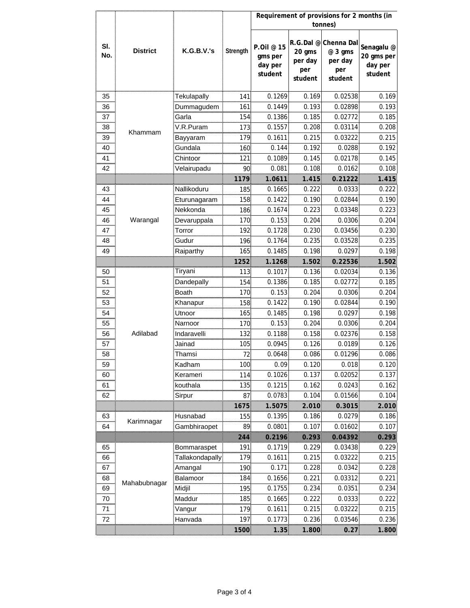| Requirement of provisions for 2 months (in |                 |                  |          |                                             |                                     |                                                              |                                                           |
|--------------------------------------------|-----------------|------------------|----------|---------------------------------------------|-------------------------------------|--------------------------------------------------------------|-----------------------------------------------------------|
|                                            |                 |                  |          |                                             |                                     | tonnes)                                                      |                                                           |
| SI.<br>No.                                 | <b>District</b> | K.G.B.V.'s       | Strength | P.Oil @ 15<br>gms per<br>day per<br>student | 20 gms<br>per day<br>per<br>student | R.G.Dal @ Chenna Dal<br>@ 3 gms<br>per day<br>per<br>student | Senagalu <sup>@</sup><br>20 gms per<br>day per<br>student |
| 35                                         |                 | Tekulapally      | 141.     | 0.1269                                      | 0.169                               | 0.02538                                                      | 0.169                                                     |
| 36                                         |                 | Dummaqudem       | 161:     | 0.1449                                      | 0.193                               | 0.02898                                                      | 0.193                                                     |
| 37                                         |                 | Garla            | 154.     | 0.1386                                      | 0.185                               | 0.02772                                                      | 0.185                                                     |
| 38                                         |                 | √.R.Puram        | 173      | 0.1557                                      | 0.208                               | 0.03114                                                      | 0.208                                                     |
| 39                                         | Khammam         | Bayyaram         | 179.     | 0.1611                                      | 0.215                               | 0.03222                                                      | 0.215                                                     |
| 40                                         |                 | Gundala          | 160.     | 0.144                                       | 0.192                               | 0.0288                                                       | 0.192                                                     |
| 41                                         |                 | Chintoor         | 121:     | 0.1089                                      | 0.145                               | 0.02178                                                      | 0.145                                                     |
| 42                                         |                 | Velairupadu      | 90.      | 0.081                                       | 0.108                               | 0.0162                                                       | 0.108                                                     |
|                                            |                 |                  | 1179     | 1.0611                                      | 1.415                               | 0.21222                                                      | 1.415                                                     |
| 43                                         |                 | Nallikoduru      | 185.     | 0.1665                                      | 0.222                               | 0.0333                                                       | 0.222                                                     |
| <br>44                                     |                 | <br>turunagaram: | 158.     | 0.1422                                      | 0.190                               | 0.02844                                                      | 0.190                                                     |
| 45                                         |                 | Nekkonda         | 186.     | 0.1674                                      | 0.223                               | 0.03348                                                      | 0.223                                                     |
| <br>46                                     | Warangal        | Devaruppala      | 170.     | 0.153                                       | 0.204                               | 0.0306                                                       | 0.204                                                     |
| 47                                         |                 | Torror           | 1921     | 0.1728                                      | 0.230                               | 0.03456                                                      | 0.230                                                     |
| an an a<br>48                              |                 | Gudur            | 196.     | 0.1764                                      | 0.235                               | 0.03528                                                      | 0.235                                                     |
| 49                                         |                 | Raiparthy        | 165      | 0.1485                                      | 0.198                               | 0.0297                                                       | 0.198                                                     |
|                                            |                 |                  | 1252.    | 1.1268:                                     | 1.502.                              | 0.22536                                                      | 1.502                                                     |
| 50                                         |                 | Tiryani          | 113.     | 0.1017                                      | 0.136                               | 0.02034                                                      | 0.136                                                     |
| 51                                         |                 | Dandepally       | 154.     | 0.1386                                      | 0.185                               | 0.02772                                                      | 0.185                                                     |
| 52                                         |                 | Boath            | 170.     | 0.153                                       | 0.204                               | 0.0306                                                       | 0.204                                                     |
| 53                                         |                 | Khanapur         | 158.     | 0.1422                                      | 0.190                               | 0.02844                                                      | 0.190                                                     |
| 54                                         |                 | Jtnoor           | 165.     | 0.1485                                      | 0.198                               | 0.0297                                                       | 0.198                                                     |
| <br>55                                     |                 | Narnoor          | 170.     | 0.153                                       | 0.204                               | 0.0306                                                       | 0.204                                                     |
| .<br>56                                    | Adilabad        | Indaravelli      | 132.     | 0.1188                                      | 0.158                               | 0.02376                                                      | 0.158                                                     |
| 57                                         |                 | Jainad           | 105      | 0.0945                                      | 0.126                               | 0.0189                                                       | 0.126                                                     |
| 58                                         |                 | :Thamsi          | 72.      | 0.0648                                      | 0.086                               | 0.01296                                                      | 0.086                                                     |
| 59                                         |                 | Kadham           | 100.     | 0.09                                        | 0.120                               | 0.018                                                        | 0.120                                                     |
| 60                                         |                 | Kerameri         | 114.     | 0.1026                                      | 0.137                               | 0.02052                                                      | 0.137                                                     |
| 61                                         |                 | kouthala         | 135:     | 0.1215                                      | 0.162                               | 0.0243                                                       | 0.162                                                     |
| 62                                         |                 | Sirpur           | 87       | 0.0783                                      | 0.104                               | 0.01566                                                      | 0.104                                                     |
|                                            |                 |                  | 1675     | 1.5075                                      | 2.010                               | 0.3015                                                       | 2.010                                                     |
| 63                                         |                 | Husnabad         | 155      | 0.1395                                      | 0.186                               | 0.0279                                                       | 0.186                                                     |
| 64                                         | Karimnagar      | Gambhiraopet     | 89       | 0.0801                                      | 0.107                               | 0.01602                                                      | 0.107                                                     |
|                                            |                 |                  | 244      | 0.2196                                      | 0.293                               | 0.04392                                                      | 0.293                                                     |
| 65                                         |                 | Bommaraspet      | 191      | 0.1719                                      | 0.229                               | 0.03438                                                      | 0.229                                                     |
| mmu<br>66                                  |                 |                  | 179.     | 0.1611                                      | 0.215                               | 0.03222                                                      | 0.215                                                     |
| 67                                         |                 | Amangal          | 190.     | 0.171                                       | 0.228                               | 0.0342                                                       | 0.228                                                     |
| 68                                         | Mahabubnagar    | Balamoor         | 184.     | 0.1656                                      | 0.221                               | 0.03312                                                      | 0.221                                                     |
| .<br>69                                    |                 | Midjil           | 195.     | 0.1755                                      | 0.234                               | 0.0351                                                       | 0.234                                                     |
| $\frac{70}{2}$                             |                 | Maddur<br>       | 185.     | 0.1665                                      | 0.222                               | 0.0333                                                       | 0.222                                                     |
|                                            |                 |                  | 179.     | 0.1611                                      | 0.215                               | 0.03222                                                      | 0.215                                                     |
| <br><br>72                                 |                 | Hanvada          | 197.     | 0.1773                                      | 0.236                               | 0.03546                                                      | 0.236                                                     |
|                                            |                 |                  | 1500     | 1.35 <sub>1</sub>                           | 1.800                               | $0.27^{\circ}$                                               | 1.800                                                     |